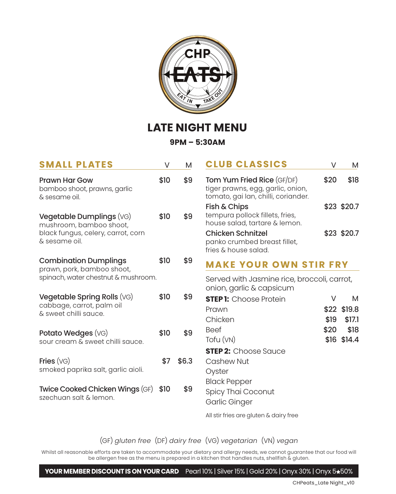

## **LATE NIGHT MENU**

**9PM – 5:30AM**

| <b>SMALL PLATES</b>                                                                                        | V    | M     | <b>CLUB CLASSICS</b>                                                                                          | V         | M                          |  |
|------------------------------------------------------------------------------------------------------------|------|-------|---------------------------------------------------------------------------------------------------------------|-----------|----------------------------|--|
| <b>Prawn Har Gow</b><br>bamboo shoot, prawns, garlic<br>& sesame oil.                                      | \$10 | \$9   | <b>Tom Yum Fried Rice (GF/DF)</b><br>tiger prawns, egg, garlic, onion,<br>tomato, gai lan, chilli, coriander. | \$20      | \$18                       |  |
| Vegetable Dumplings (VG)<br>mushroom, bamboo shoot,<br>black fungus, celery, carrot, corn<br>& sesame oil. | \$10 | \$9   | Fish & Chips<br>tempura pollock fillets, fries,<br>house salad, tartare & lemon.                              |           | \$23 \$20.7                |  |
|                                                                                                            |      |       | <b>Chicken Schnitzel</b><br>panko crumbed breast fillet,<br>fries & house salad.                              |           | \$23 \$20.7                |  |
| <b>Combination Dumplings</b>                                                                               |      | \$9   | <b>MAKE YOUR OWN STIR FRY</b>                                                                                 |           |                            |  |
| prawn, pork, bamboo shoot,<br>spinach, water chestnut & mushroom.                                          |      |       | Served with Jasmine rice, broccoli, carrot,<br>onion, garlic & capsicum                                       |           |                            |  |
| Vegetable Spring Rolls (VG)<br>cabbage, carrot, palm oil<br>& sweet chilli squce.                          | \$10 | \$9   | <b>STEP 1:</b> Choose Protein<br>Prawn<br>Chicken                                                             | V<br>\$19 | M<br>\$22 \$19.8<br>\$17.1 |  |
| Potato Wedges (VG)<br>sour cream & sweet chilli sauce.                                                     | \$10 | \$9   | <b>Beef</b><br>Tofu (VN)<br><b>STEP 2:</b> Choose Sauce                                                       | \$20      | \$18<br>\$16 \$14.4        |  |
| Fries $(VG)$<br>smoked paprika salt, garlic aioli.                                                         | \$7  | \$6.3 | Cashew Nut<br>Oyster                                                                                          |           |                            |  |
| Twice Cooked Chicken Wings (GF)<br>szechuan salt & lemon.                                                  | \$10 | \$9   | <b>Black Pepper</b><br>Spicy Thai Coconut<br>Garlic Ginger                                                    |           |                            |  |

All stir fries are gluten & dairy free

(GF) *gluten free* (DF) *dairy free* (VG) *vegetarian* (VN) *vegan*

Whilst all reasonable efforts are taken to accommodate your dietary and allergy needs, we cannot guarantee that our food will be allergen free as the menu is prepared in a kitchen that handles nuts, shellfish & gluten.

**YOUR MEMBER DISCOUNT IS ON YOUR CARD** Pearl 10% | Silver 15% | Gold 20% | Onyx 30% | Onyx 5<sup>+50%</sup>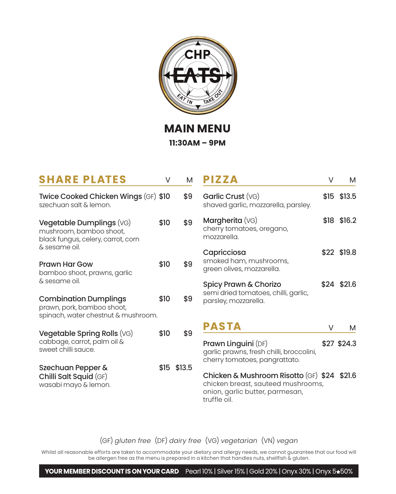

**MAIN MENU 11:30AM – 9PM**

| <b>SHARE PLATES</b>                                                                                        | V    | м           |
|------------------------------------------------------------------------------------------------------------|------|-------------|
| Twice Cooked Chicken Wings (GF) \$10<br>szechuan salt & lemon.                                             |      | \$9         |
| Vegetable Dumplings (VG)<br>mushroom, bamboo shoot,<br>black fungus, celery, carrot, corn<br>& sesame oil. | \$10 | \$9         |
| Prawn Har Gow<br>bamboo shoot, prawns, garlic<br>& sesame oil.                                             | \$10 | \$9         |
| <b>Combination Dumplings</b><br>prawn, pork, bamboo shoot,<br>spinach, water chestnut & mushroom.          | \$10 | \$9         |
| Vegetable Spring Rolls (VG)<br>cabbage, carrot, palm oil &<br>sweet chilli sauce.                          | \$10 | \$9         |
| Szechuan Pepper &<br>Chilli Salt Squid (GF)<br>wasabi mayo & lemon.                                        |      | \$15 \$13.5 |

| V           | м                   | <b>PIZZA</b>                                                                                                                         | V    | М             |
|-------------|---------------------|--------------------------------------------------------------------------------------------------------------------------------------|------|---------------|
| 0           | \$9                 | Garlic Crust (VG)<br>shaved garlic, mozzarella, parsley.                                                                             |      | $$15$ $$13.5$ |
| 0           | \$9                 | Margherita (VG)<br>cherry tomatoes, oregano,<br>mozzarella                                                                           | \$18 | \$16.2        |
| 0           | \$9                 | Capricciosa<br>smoked ham, mushrooms,<br>green olives, mozzarella.                                                                   |      | \$22 \$19.8   |
| 0           | \$9                 | Spicy Prawn & Chorizo<br>semi dried tomatoes, chilli, garlic,<br>parsley, mozzarella.                                                |      | \$24 \$21.6   |
| 0           | <b>PASTA</b><br>\$9 |                                                                                                                                      | V    | м             |
|             |                     | <b>Prawn Linguini</b> (DF)<br>garlic prawns, fresh chilli, broccolini,<br>cherry tomatoes, pangrattato.                              |      | \$27 \$24.3   |
| 5<br>\$13.5 |                     | Chicken & Mushroom Risotto (GF) \$24 \$21.6<br>chicken breast, sauteed mushrooms,<br>onion, garlic butter, parmesan,<br>truffle oil. |      |               |

(GF) *gluten free* (DF) *dairy free* (VG) *vegetarian* (VN) *vegan*

Whilst all reasonable efforts are taken to accommodate your dietary and allergy needs, we cannot guarantee that our food will be allergen free as the menu is prepared in a kitchen that handles nuts, shellfish & gluten.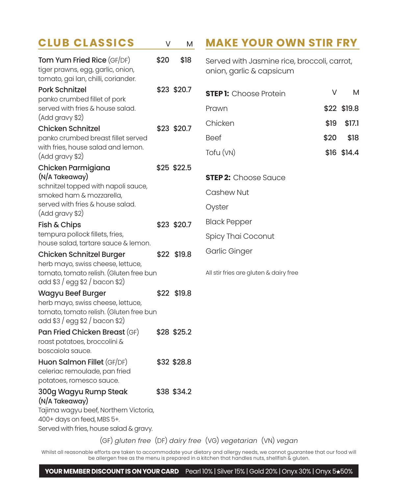| <b>CLUB CLASSICS</b>                                                                                                                                      | V    | M           | <b>MAKE YOUR OWN STIR FRY</b>                                                                                           |             |
|-----------------------------------------------------------------------------------------------------------------------------------------------------------|------|-------------|-------------------------------------------------------------------------------------------------------------------------|-------------|
| Tom Yum Fried Rice (GF/DF)<br>tiger prawns, egg, garlic, onion,<br>tomato, gai lan, chilli, coriander.                                                    | \$20 | \$18        | Served with Jasmine rice, broccoli, carrot,<br>onion, garlic & capsicum                                                 |             |
| <b>Pork Schnitzel</b><br>panko crumbed fillet of pork                                                                                                     |      | \$23 \$20.7 | V<br><b>STEP 1:</b> Choose Protein                                                                                      | М           |
| served with fries & house salad.                                                                                                                          |      |             | Prawn                                                                                                                   | \$22 \$19.8 |
| (Add gravy \$2)<br>Chicken Schnitzel                                                                                                                      |      | \$23 \$20.7 | Chicken<br>\$19                                                                                                         | \$17.1      |
| panko crumbed breast fillet served                                                                                                                        |      |             | <b>Beef</b><br>\$20                                                                                                     | \$18        |
| with fries, house salad and lemon.<br>(Add gravy \$2)                                                                                                     |      |             | Tofu (VN)                                                                                                               | \$16 \$14.4 |
| Chicken Parmigiana                                                                                                                                        |      | \$25 \$22.5 |                                                                                                                         |             |
| (N/A Takeaway)<br>schnitzel topped with napoli sauce,                                                                                                     |      |             | <b>STEP 2:</b> Choose Sauce                                                                                             |             |
| smoked ham & mozzarella,                                                                                                                                  |      |             | Cashew Nut                                                                                                              |             |
| served with fries & house salad.<br>(Add gravy \$2)                                                                                                       |      |             | Oyster                                                                                                                  |             |
| Fish & Chips                                                                                                                                              |      | \$23 \$20.7 | <b>Black Pepper</b>                                                                                                     |             |
| tempura pollock fillets, fries,                                                                                                                           |      |             | Spicy Thai Coconut                                                                                                      |             |
| house salad, tartare sauce & lemon.<br><b>Chicken Schnitzel Burger</b>                                                                                    |      | \$22 \$19.8 | Garlic Ginger                                                                                                           |             |
| herb mayo, swiss cheese, lettuce,<br>tomato, tomato relish. (Gluten free bun<br>add \$3 / egg \$2 / bacon \$2)                                            |      |             | All stir fries are gluten & dairy free                                                                                  |             |
| Wagyu Beef Burger<br>herb mayo, swiss cheese, lettuce,<br>tomato, tomato relish. (Gluten free bun<br>add \$3 / egg \$2 / bacon \$2)                       |      | \$22 \$19.8 |                                                                                                                         |             |
| Pan Fried Chicken Breast (GF)<br>roast potatoes, broccolini &<br>boscaiola sauce.                                                                         |      | \$28 \$25.2 |                                                                                                                         |             |
| Huon Salmon Fillet (GF/DF)<br>celeriac remoulade, pan fried<br>potatoes, romesco sauce.                                                                   |      | \$32 \$28.8 |                                                                                                                         |             |
| 300g Wagyu Rump Steak<br>(N/A Takeaway)<br>Tajima wagyu beef, Northern Victoria,<br>400+ days on feed, MBS 5+.<br>Served with fries, house salad & gravy. |      | \$38 \$34.2 | $(\Omega \Gamma)$ electron from $(\Omega \Gamma)$ electron from $(\Omega \Gamma)$ constantes $(\Omega \Gamma)$ constant |             |

(GF) *gluten free* (DF) *dairy free* (VG) *vegetarian* (VN) *vegan*

Whilst all reasonable efforts are taken to accommodate your dietary and allergy needs, we cannot guarantee that our food will be allergen free as the menu is prepared in a kitchen that handles nuts, shellfish & gluten.